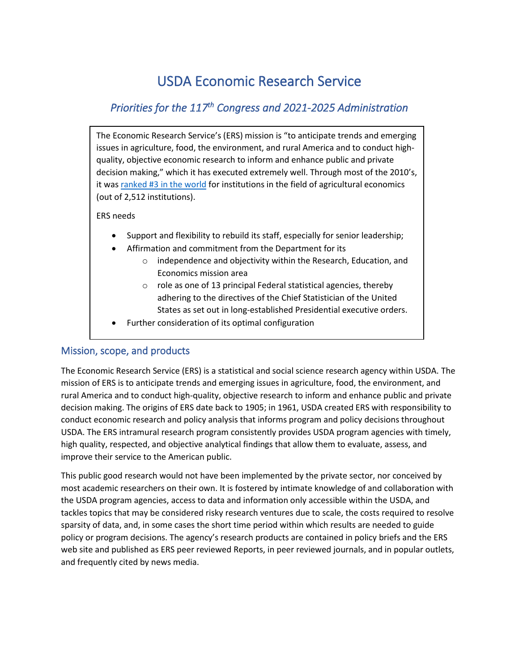# USDA Economic Research Service

## *Priorities for the 117th Congress and 2021-2025 Administration*

The Economic Research Service's (ERS) mission is "to anticipate trends and emerging issues in agriculture, food, the environment, and rural America and to conduct highquality, objective economic research to inform and enhance public and private decision making," which it has executed extremely well. Through most of the 2010's, it wa[s ranked #3 in the world](https://ideas.repec.org/top/top.agr.html#institutions) for institutions in the field of agricultural economics (out of 2,512 institutions).

#### ERS needs

- Support and flexibility to rebuild its staff, especially for senior leadership;
- Affirmation and commitment from the Department for its
	- o independence and objectivity within the Research, Education, and Economics mission area
	- o role as one of 13 principal Federal statistical agencies, thereby adhering to the directives of the Chief Statistician of the United States as set out in long-established Presidential executive orders.
- Further consideration of its optimal configuration

## Mission, scope, and products

The Economic Research Service (ERS) is a statistical and social science research agency within USDA. The mission of ERS is to anticipate trends and emerging issues in agriculture, food, the environment, and rural America and to conduct high-quality, objective research to inform and enhance public and private decision making. The origins of ERS date back to 1905; in 1961, USDA created ERS with responsibility to conduct economic research and policy analysis that informs program and policy decisions throughout USDA. The ERS intramural research program consistently provides USDA program agencies with timely, high quality, respected, and objective analytical findings that allow them to evaluate, assess, and improve their service to the American public.

This public good research would not have been implemented by the private sector, nor conceived by most academic researchers on their own. It is fostered by intimate knowledge of and collaboration with the USDA program agencies, access to data and information only accessible within the USDA, and tackles topics that may be considered risky research ventures due to scale, the costs required to resolve sparsity of data, and, in some cases the short time period within which results are needed to guide policy or program decisions. The agency's research products are contained in policy briefs and the ERS web site and published as ERS peer reviewed Reports, in peer reviewed journals, and in popular outlets, and frequently cited by news media.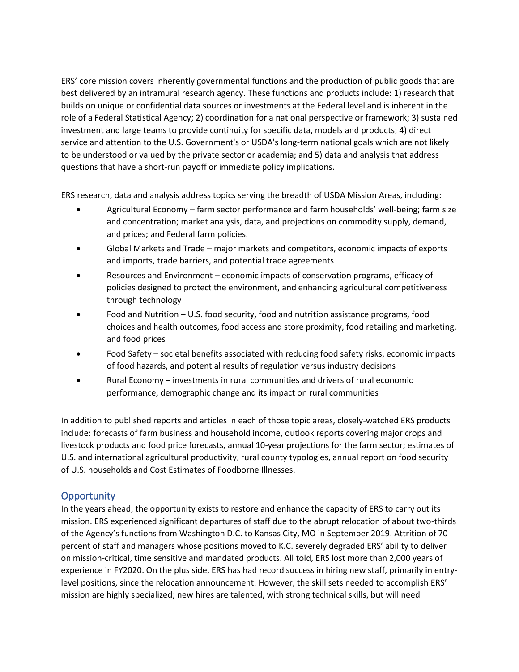ERS' core mission covers inherently governmental functions and the production of public goods that are best delivered by an intramural research agency. These functions and products include: 1) research that builds on unique or confidential data sources or investments at the Federal level and is inherent in the role of a Federal Statistical Agency; 2) coordination for a national perspective or framework; 3) sustained investment and large teams to provide continuity for specific data, models and products; 4) direct service and attention to the U.S. Government's or USDA's long-term national goals which are not likely to be understood or valued by the private sector or academia; and 5) data and analysis that address questions that have a short-run payoff or immediate policy implications.

ERS research, data and analysis address topics serving the breadth of USDA Mission Areas, including:

- Agricultural Economy farm sector performance and farm households' well-being; farm size and concentration; market analysis, data, and projections on commodity supply, demand, and prices; and Federal farm policies.
- Global Markets and Trade major markets and competitors, economic impacts of exports and imports, trade barriers, and potential trade agreements
- Resources and Environment economic impacts of conservation programs, efficacy of policies designed to protect the environment, and enhancing agricultural competitiveness through technology
- Food and Nutrition U.S. food security, food and nutrition assistance programs, food choices and health outcomes, food access and store proximity, food retailing and marketing, and food prices
- Food Safety societal benefits associated with reducing food safety risks, economic impacts of food hazards, and potential results of regulation versus industry decisions
- Rural Economy investments in rural communities and drivers of rural economic performance, demographic change and its impact on rural communities

In addition to published reports and articles in each of those topic areas, closely-watched ERS products include: forecasts of farm business and household income, outlook reports covering major crops and livestock products and food price forecasts, annual 10-year projections for the farm sector; estimates of U.S. and international agricultural productivity, rural county typologies, annual report on food security of U.S. households and Cost Estimates of Foodborne Illnesses.

## **Opportunity**

In the years ahead, the opportunity exists to restore and enhance the capacity of ERS to carry out its mission. ERS experienced significant departures of staff due to the abrupt relocation of about two-thirds of the Agency's functions from Washington D.C. to Kansas City, MO in September 2019. Attrition of 70 percent of staff and managers whose positions moved to K.C. severely degraded ERS' ability to deliver on mission-critical, time sensitive and mandated products. All told, ERS lost more than 2,000 years of experience in FY2020. On the plus side, ERS has had record success in hiring new staff, primarily in entrylevel positions, since the relocation announcement. However, the skill sets needed to accomplish ERS' mission are highly specialized; new hires are talented, with strong technical skills, but will need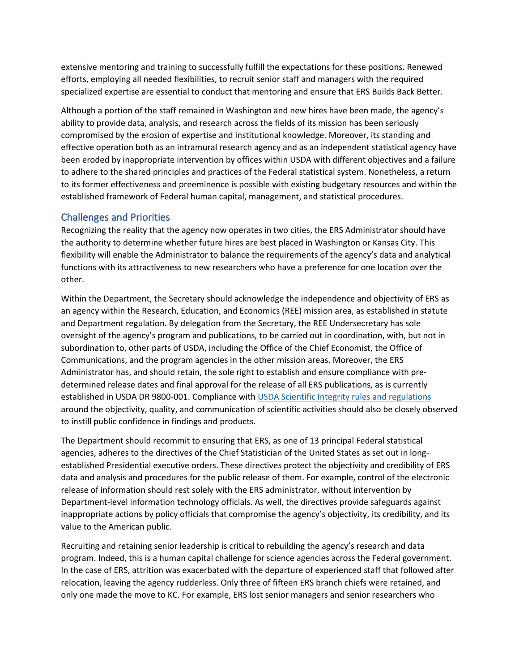extensive mentoring and training to successfully fulfill the expectations for these positions. Renewed efforts, employing all needed flexibilities, to recruit senior staff and managers with the required specialized expertise are essential to conduct that mentoring and ensure that ERS Builds Back Better.

Although a portion of the staff remained in Washington and new hires have been made, the agency's ability to provide data, analysis, and research across the fields of its mission has been seriously compromised by the erosion of expertise and institutional knowledge. Moreover, its standing and effective operation both as an intramural research agency and as an independent statistical agency have been eroded by inappropriate intervention by offices within USDA with different objectives and a failure to adhere to the shared principles and practices of the Federal statistical system. Nonetheless, a return to its former effectiveness and preeminence is possible with existing budgetary resources and within the established framework of Federal human capital, management, and statistical procedures.

## Challenges and Priorities

Recognizing the reality that the agency now operates in two cities, the ERS Administrator should have the authority to determine whether future hires are best placed in Washington or Kansas City. This flexibility will enable the Administrator to balance the requirements of the agency's data and analytical functions with its attractiveness to new researchers who have a preference for one location over the other.

Within the Department, the Secretary should acknowledge the independence and objectivity of ERS as an agency within the Research, Education, and Economics (REE) mission area, as established in statute and Department regulation. By delegation from the Secretary, the REE Undersecretary has sole oversight of the agency's program and publications, to be carried out in coordination, with, but not in subordination to, other parts of USDA, including the Office of the Chief Economist, the Office of Communications, and the program agencies in the other mission areas. Moreover, the ERS Administrator has, and should retain, the sole right to establish and ensure compliance with predetermined release dates and final approval for the release of all ERS publications, as is currently established in USDA DR 9800-001. Compliance with [USDA Scientific Integrity rules and regulations](https://www.ocio.usda.gov/sites/default/files/docs/2012/Final%20-%20DR%201074-001%20Scientific%20Integrity.pdf) around the objectivity, quality, and communication of scientific activities should also be closely observed to instill public confidence in findings and products.

The Department should recommit to ensuring that ERS, as one of 13 principal Federal statistical agencies, adheres to the directives of the Chief Statistician of the United States as set out in longestablished Presidential executive orders. These directives protect the objectivity and credibility of ERS data and analysis and procedures for the public release of them. For example, control of the electronic release of information should rest solely with the ERS administrator, without intervention by Department-level information technology officials. As well, the directives provide safeguards against inappropriate actions by policy officials that compromise the agency's objectivity, its credibility, and its value to the American public.

Recruiting and retaining senior leadership is critical to rebuilding the agency's research and data program. Indeed, this is a human capital challenge for science agencies across the Federal government. In the case of ERS, attrition was exacerbated with the departure of experienced staff that followed after relocation, leaving the agency rudderless. Only three of fifteen ERS branch chiefs were retained, and only one made the move to KC. For example, ERS lost senior managers and senior researchers who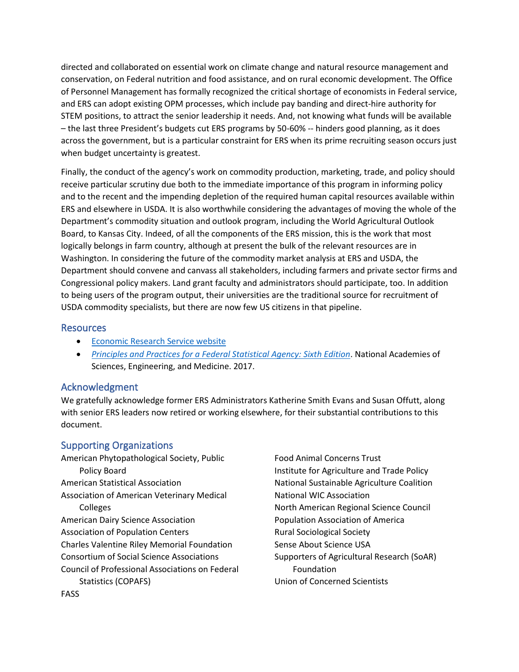directed and collaborated on essential work on climate change and natural resource management and conservation, on Federal nutrition and food assistance, and on rural economic development. The Office of Personnel Management has formally recognized the critical shortage of economists in Federal service, and ERS can adopt existing OPM processes, which include pay banding and direct-hire authority for STEM positions, to attract the senior leadership it needs. And, not knowing what funds will be available – the last three President's budgets cut ERS programs by 50-60% -- hinders good planning, as it does across the government, but is a particular constraint for ERS when its prime recruiting season occurs just when budget uncertainty is greatest.

Finally, the conduct of the agency's work on commodity production, marketing, trade, and policy should receive particular scrutiny due both to the immediate importance of this program in informing policy and to the recent and the impending depletion of the required human capital resources available within ERS and elsewhere in USDA. It is also worthwhile considering the advantages of moving the whole of the Department's commodity situation and outlook program, including the World Agricultural Outlook Board, to Kansas City. Indeed, of all the components of the ERS mission, this is the work that most logically belongs in farm country, although at present the bulk of the relevant resources are in Washington. In considering the future of the commodity market analysis at ERS and USDA, the Department should convene and canvass all stakeholders, including farmers and private sector firms and Congressional policy makers. Land grant faculty and administrators should participate, too. In addition to being users of the program output, their universities are the traditional source for recruitment of USDA commodity specialists, but there are now few US citizens in that pipeline.

#### Resources

- [Economic Research Service website](https://www.ers.usda.gov/)
- *[Principles and Practices for a Federal Statistical Agency: Sixth Edition](file:///C:/Users/spierson/AppData/Local/Microsoft/Windows/INetCache/Content.Outlook/R6D9INDR/Principles%20and%20Practices%20for%20a%20Federal%20Statistical%20Agency:%20Sixth%20Edition)*. National Academies of Sciences, Engineering, and Medicine. 2017.

## Acknowledgment

We gratefully acknowledge former ERS Administrators Katherine Smith Evans and Susan Offutt, along with senior ERS leaders now retired or working elsewhere, for their substantial contributions to this document.

## Supporting Organizations

American Phytopathological Society, Public Policy Board American Statistical Association Association of American Veterinary Medical Colleges American Dairy Science Association Association of Population Centers Charles Valentine Riley Memorial Foundation Consortium of Social Science Associations Council of Professional Associations on Federal Statistics (COPAFS)

Food Animal Concerns Trust Institute for Agriculture and Trade Policy National Sustainable Agriculture Coalition National WIC Association North American Regional Science Council Population Association of America Rural Sociological Society Sense About Science USA Supporters of Agricultural Research (SoAR) Foundation Union of Concerned Scientists